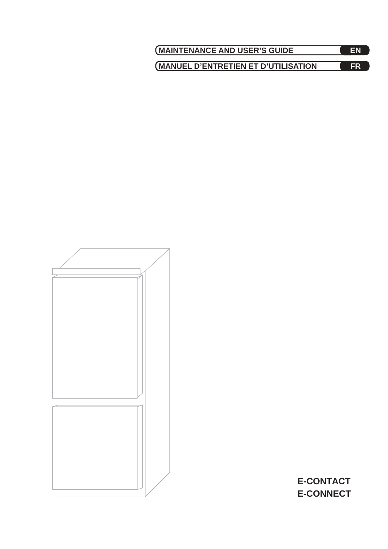| <b>MAINTENANCE AND USER'S GUIDE</b>  | FN |
|--------------------------------------|----|
| (MANUEL D'ENTRETIEN ET D'UTILISATION | FR |



**E-CONTACT E-CONNECT**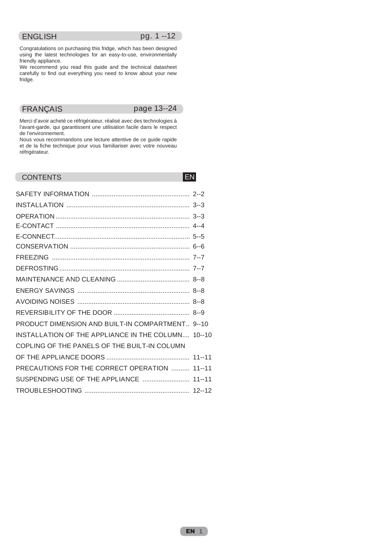## ENGLISH pg. 1--12

Congratulations on purchasing this fridge, which has been designed using the latest technologies for an easy-to-use, environmentally friendly appliance.

We recommend you read this guide and the technical datasheet carefully to find out everything you need to know about your new fridge.

FRANÇAIS page 13--24

Merci d'avoir acheté ce réfrigérateur, réalisé avec des technologies à l'avant-garde, qui garantissent une utilisation facile dans le respect de l'environnement.

Nous vous recommandons une lecture attentive de ce guide rapide et de la fiche technique pour vous familiariser avec votre nouveau réfrigérateur.

## CONTENTS ENGINEERING CONTENTS

| PRODUCT DIMENSION AND BUILT-IN COMPARTMENT 9--10   |  |
|----------------------------------------------------|--|
| INSTALLATION OF THE APPLIANCE IN THE COLUMN 10--10 |  |
| COPLING OF THE PANELS OF THE BUILT-IN COLUMN       |  |
|                                                    |  |
| PRECAUTIONS FOR THE CORRECT OPERATION  11--11      |  |
| SUSPENDING USE OF THE APPLIANCE  11--11            |  |
|                                                    |  |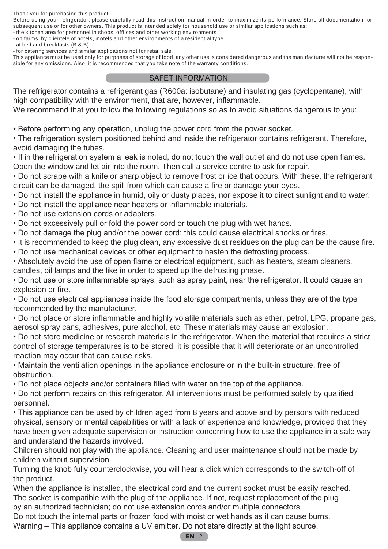Thank you for purchasing this product.

Before using your refrigerator, please carefully read this instruction manual in order to maximize its performance. Store all documentation for subsequent use or for other owners. This product is intended solely for household use or similar applications such as:

- the kitchen area for personnel in shops, offi ces and other working environments
- on farms, by clientele of hotels, motels and other environments of a residential type
- at bed and breakfasts (B & B)
- for catering services and similar applications not for retail sale.

This appliance must be used only for purposes of storage of food, any other use is considered dangerous and the manufacturer will not be responsible for any omissions. Also, it is recommended that you take note of the warranty conditions.

### SAFET INFORMATION

The refrigerator contains a refrigerant gas (R600a: isobutane) and insulating gas (cyclopentane), with high compatibility with the environment, that are, however, inflammable.

We recommend that you follow the following regulations so as to avoid situations dangerous to you:

• Before performing any operation, unplug the power cord from the power socket.

• The refrigeration system positioned behind and inside the refrigerator contains refrigerant. Therefore, avoid damaging the tubes.

• If in the refrigeration system a leak is noted, do not touch the wall outlet and do not use open flames. Open the window and let air into the room. Then call a service centre to ask for repair.

• Do not scrape with a knife or sharp object to remove frost or ice that occurs. With these, the refrigerant circuit can be damaged, the spill from which can cause a fire or damage your eyes.

- Do not install the appliance in humid, oily or dusty places, nor expose it to direct sunlight and to water.
- Do not install the appliance near heaters or inflammable materials.
- Do not use extension cords or adapters.
- Do not excessively pull or fold the power cord or touch the plug with wet hands.
- Do not damage the plug and/or the power cord; this could cause electrical shocks or fires.
- It is recommended to keep the plug clean, any excessive dust residues on the plug can be the cause fire.
- Do not use mechanical devices or other equipment to hasten the defrosting process.

• Absolutely avoid the use of open flame or electrical equipment, such as heaters, steam cleaners, candles, oil lamps and the like in order to speed up the defrosting phase.

• Do not use or store inflammable sprays, such as spray paint, near the refrigerator. It could cause an explosion or fire.

• Do not use electrical appliances inside the food storage compartments, unless they are of the type recommended by the manufacturer.

• Do not place or store inflammable and highly volatile materials such as ether, petrol, LPG, propane gas, aerosol spray cans, adhesives, pure alcohol, etc. These materials may cause an explosion.

• Do not store medicine or research materials in the refrigerator. When the material that requires a strict control of storage temperatures is to be stored, it is possible that it will deteriorate or an uncontrolled reaction may occur that can cause risks.

• Maintain the ventilation openings in the appliance enclosure or in the built-in structure, free of obstruction.

• Do not place objects and/or containers filled with water on the top of the appliance.

• Do not perform repairs on this refrigerator. All interventions must be performed solely by qualified personnel.

• This appliance can be used by children aged from 8 years and above and by persons with reduced physical, sensory or mental capabilities or with a lack of experience and knowledge, provided that they have been given adequate supervision or instruction concerning how to use the appliance in a safe way and understand the hazards involved.

Children should not play with the appliance. Cleaning and user maintenance should not be made by children without supervision.

Turning the knob fully counterclockwise, you will hear a click which corresponds to the switch-off of the product.

When the appliance is installed, the electrical cord and the current socket must be easily reached. The socket is compatible with the plug of the appliance. If not, request replacement of the plug by an authorized technician; do not use extension cords and/or multiple connectors.

Do not touch the internal parts or frozen food with moist or wet hands as it can cause burns.

Warning – This appliance contains a UV emitter. Do not stare directly at the light source.

#### EN 2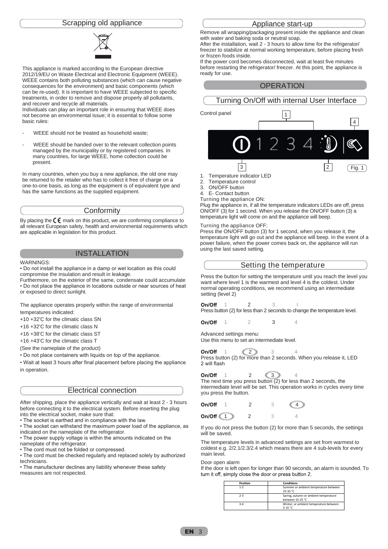#### Scrapping old appliance



This appliance is marked according to the European directive 2012/19/EU on Waste Electrical and Electronic Equipment (WEEE). WEEE contains both polluting substances (which can cause negative consequences for the environment) and basic components (which can be re-used). It is important to have WEEE subjected to specific treatments, in order to remove and dispose properly all pollutants, and recover and recycle all materials.

Individuals can play an important role in ensuring that WEEE does not become an environmental issue; it is essential to follow some basic rules:

- WEEE should not be treated as household waste;
- WEEE should be handed over to the relevant collection points managed by the municipality or by registered companies. In many countries, for large WEEE, home collection could be present.

In many countries, when you buy a new appliance, the old one may be returned to the retailer who has to collect it free of charge on a one-to-one basis, as long as the equipment is of equivalent type and has the same functions as the supplied equipment.

#### **Conformity**

By placing the  $\zeta \xi$  mark on this product, we are confirming compliance to all relevant European safety, health and environmental requirements which are applicable in legislation for this product.

## INSTALLATION

#### WARNINGS:

• Do not install the appliance in a damp or wet location as this could compromise the insulation and result in leakage.

Furthermore, on the exterior of the same, condensate could accumulate • Do not place the appliance in locations outside or near sources of heat or exposed to direct sunlight.

The appliance operates properly within the range of environmental temperatures indicated:

+10 +32'C for the climatic class SN

+16 +32'C for the climatic class N

+16 +38'C for the climatic class ST

+16 +43'C for the climatic class T

(See the nameplate of the product)

• Do not place containers with liquids on top of the appliance.

• Wait at least 3 hours after final placement before placing the appliance in operation.

#### Electrical connection

After shipping, place the appliance vertically and wait at least 2 - 3 hours before connecting it to the electrical system. Before inserting the plug into the electrical socket, make sure that:

• The socket is earthed and in compliance with the law.

• The socket can withstand the maximum power load of the appliance, as indicated on the nameplate of the refrigerator.

• The power supply voltage is within the amounts indicated on the nameplate of the refrigerator.

• The cord must not be folded or compressed.

• The cord must be checked regularly and replaced solely by authorized technicians.

• The manufacturer declines any liability whenever these safety measures are not respected.

#### Appliance start-up

Remove all wrapping/packaging present inside the appliance and clean with water and baking soda or neutral soap.

After the installation, wait 2 - 3 hours to allow time for the refrigerator/ freezer to stabilize at normal working temperature, before placing fresh or frozen foods inside.

If the power cord becomes disconnected, wait at least five minutes before restarting the refrigerator/ freezer. At this point, the appliance is ready for use.





2. Temperature control

3. ON/OFF button

4. E- Contact button

Turning the appliance ON:

Plug the appliance in, if all the temperature indicators LEDs are off, press ON/OFF (3) for 1 second. When you release the ON/OFF button (3) a temperature light will come on and the appliance will beep.

#### Turning the appliance OFF:

Press the ON/OFF button (3) for 1 second, when you release it, the temperature light will go out and the appliance will beep. In the event of a power failure, when the power comes back on, the appliance will run using the last saved setting.

|  | Setting the temperature |  |
|--|-------------------------|--|
|--|-------------------------|--|

Press the button for setting the temperature until you reach the level you want where level 1 is the warmest and level 4 is the coldest. Under normal operating conditions, we recommend using an intermediate setting (level 2)

On/Off 1 2 3 **4** Press button (2) for less than 2 seconds to change the temperature level.

On/Off 1 2 3 4

Advanced settings menu: Use this menu to set an intermediate level.

On/Off  $1 \leq 2 \geq 3$  4 Press button (2) for more than 2 seconds. When you release it, LED 2 will flash

On/Off 1 2  $\leqslant 3 \geqslant 4$ The next time you press button  $(2)$  for less than 2 seconds, the intermediate level will be set. This operation works in cycles every time you press the button.

On/Off 1 2 3  $\leqslant 4$ 

On/Off ₹  $1 \geqslant 2$  3 4

If you do not press the button (2) for more than 5 seconds, the settings will be saved.

The temperature levels in advanced settings are set from warmest to coldest e.g. 2/2.1/2.3/2.4 which means there are 4 sub-levels for every main level.

Door open alarm

If the door is left open for longer than 90 seconds, an alarm is sounded. To turn it off, simply close the door or press button 2.

| <b>Position</b> | <b>Conditions</b>                                         |
|-----------------|-----------------------------------------------------------|
| $1 - 2$         | Summer or ambient temperature between<br>25-35 °C         |
| $2 - 3$         | Spring, autumn or ambient temperature<br>between 15-25 °C |
| $3 - 4$         | Winter, or ambient temperature between<br>5-15 °C         |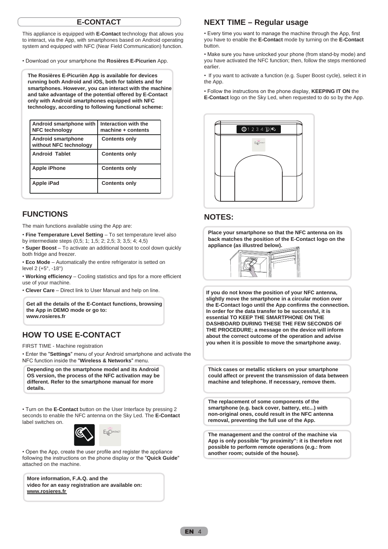## **E-CONTACT**

This appliance is equipped with **E-Contact** technology that allows you to interact, via the App, with smartphones based on Android operating system and equipped with NFC (Near Field Communication) function.

• Download on your smartphone the **Rosières E-Picurien** App.

**The Rosières E-Picurièn App is available for devices running both Android and iOS, both for tablets and for smartphones. However, you can interact with the machine and take advantage of the potential offered by E-Contact only with Android smartphones equipped with NFC technology, according to following functional scheme:**

| Android smartphone with<br><b>NFC technology</b>    | Interaction with the<br>machine + contents |
|-----------------------------------------------------|--------------------------------------------|
| <b>Android smartphone</b><br>without NFC technology | <b>Contents only</b>                       |
| <b>Android Tablet</b>                               | <b>Contents only</b>                       |
| <b>Apple iPhone</b>                                 | <b>Contents only</b>                       |
| Apple iPad                                          | <b>Contents only</b>                       |

## **FUNCTIONS**

The main functions available using the App are:

• **Fine Temperature Level Setting** – To set temperature level also by intermediate steps (0,5; 1; 1,5; 2; 2,5; 3; 3,5; 4; 4,5)

• **Super Boost** – To activate an additional boost to cool down quickly both fridge and freezer.

• **Eco Mode** – Automatically the entire refrigerator is setted on level 2 (+5°, -18°)

• **Working efficiency** – Cooling statistics and tips for a more efficient use of your machine.

• **Clever Care** – Direct link to User Manual and help on line.

**Get all the details of the E-Contact functions, browsing the App in DEMO mode or go to: www.rosieres.fr**

## **HOW TO USE E-CONTACT**

FIRST TIME - Machine registration

• Enter the "**Settings**" menu of your Android smartphone and activate the NFC function inside the "**Wireless & Networks**" menu.

**Depending on the smartphone model and its Android OS version, the process of the NFC activation may be different. Refer to the smartphone manual for more details.**

• Turn on the **E-Contact** button on the User Interface by pressing 2 seconds to enable the NFC antenna on the Sky Led. The **E-Contact** label switches on.



• Open the App, create the user profile and register the appliance following the instructions on the phone display or the "**Quick Guide**" attached on the machine.

**More information, F.A.Q. and the video for an easy registration are available on: www.rosieres.fr**

## **NEXT TIME – Regular usage**

• Every time you want to manage the machine through the App, first you have to enable the **E-Contact** mode by turning on the **E-Contact** button.

• Make sure you have unlocked your phone (from stand-by mode) and you have activated the NFC function; then, follow the steps mentioned earlier.

• If you want to activate a function (e.g. Super Boost cycle), select it in the App.

• Follow the instructions on the phone display, **KEEPING IT ON** the **E-Contact** logo on the Sky Led, when requested to do so by the App.



## **NOTES:**

**Place your smartphone so that the NFC antenna on its back matches the position of the E-Contact logo on the appliance (as illustred below).**



**If you do not know the position of your NFC antenna, slightly move the smartphone in a circular motion over the E-Contact logo until the App confirms the connection. In order for the data transfer to be successful, it is essential TO KEEP THE SMARTPHONE ON THE DASHBOARD DURING THESE THE FEW SECONDS OF THE PROCEDURE; a message on the device will inform about the correct outcome of the operation and advise you when it is possible to move the smartphone away.**

**Thick cases or metallic stickers on your smartphone could affect or prevent the transmission of data between machine and telephone. If necessary, remove them.**

**The replacement of some components of the smartphone (e.g. back cover, battery, etc...) with non-original ones, could result in the NFC antenna removal, preventing the full use of the App.**

**The management and the control of the machine via App is only possible "by proximity": it is therefore not possible to perform remote operations (e.g.: from another room; outside of the house).**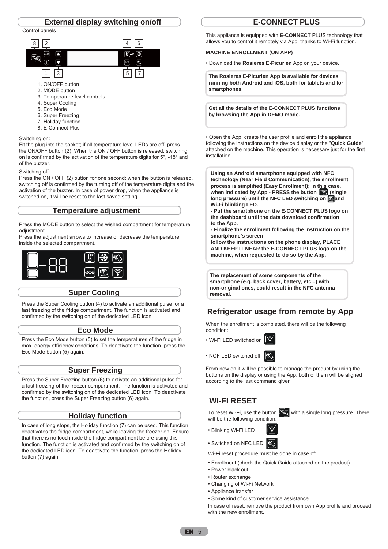



- 3. Temperature level controls
- 4. Super Cooling
- 5. Eco Mode
- 6. Super Freezing
- 7. Holiday function
- 8. E-Connect Plus

#### Switching on:

Fit the plug into the socket; if all temperature level LEDs are off, press the ON/OFF button (2). When the ON / OFF button is released, switching on is confirmed by the activation of the temperature digits for 5°, -18° and of the buzzer.

Switching off:

Press the ON / OFF (2) button for one second; when the button is released, switching off is confirmed by the turning off of the temperature digits and the activation of the buzzer. In case of power drop, when the appliance is switched on, it will be reset to the last saved setting.

#### **Temperature adjustment**

Press the MODE button to select the wished compartment for temperature adjustment.

Press the adjustment arrows to increase or decrease the temperature inside the selected compartment.



#### **Super Cooling**

Press the Super Cooling button (4) to activate an additional pulse for a fast freezing of the fridge compartment. The function is activated and confirmed by the switching on of the dedicated LED icon.

#### **Eco Mode**

Press the Eco Mode button (5) to set the temperatures of the fridge in max. energy efficiency conditions. To deactivate the function, press the Eco Mode button (5) again.

#### **Super Freezing**

Press the Super Freezing button (6) to activate an additional pulse for a fast freezing of the freezer compartment. The function is activated and confirmed by the switching on of the dedicated LED icon. To deactivate the function, press the Super Freezing button (6) again.

### **Holiday function**

In case of long stops, the Holiday function (7) can be used. This function deactivates the fridge compartment, while leaving the freezer on. Ensure that there is no food inside the fridge compartment before using this function. The function is activated and confirmed by the switching on of the dedicated LED icon. To deactivate the function, press the Holiday button (7) again.

## **E-CONNECT PLUS**

This appliance is equipped with **E-CONNECT** PLUS technology that allows you to control it remotely via App, thanks to Wi-Fi function.

#### **MACHINE ENROLLMENT (ON APP)**

• Download the **Rosieres E-Picurien** App on your device.

**The Rosieres E-Picurien App is available for devices running both Android and iOS, both for tablets and for smartphones.**

**Get all the details of the E-CONNECT PLUS functions by browsing the App in DEMO mode.**

• Open the App, create the user profile and enroll the appliance following the instructions on the device display or the "**Quick Guide**" attached on the machine. This operation is necessary just for the first installation.

**Using an Android smartphone equipped with NFC technology (Near Field Communication), the enrollment process is simplified (Easy Enrollment); in this case,**  when indicated by App - PRESS the button **(s)** (single long pressure) until the NFC LED switching on sand **Wi-Fi blinking LED.**

**- Put the smartphone on the E-CONNECT PLUS logo on the dashboard until the data download confirmation to the App.**

**- Finalize the enrollment following the instruction on the smartphone's screen**

**follow the instructions on the phone display, PLACE AND KEEP IT NEAR the E-CONNECT PLUS logo on the machine, when requested to do so by the App.**

**The replacement of some components of the smartphone (e.g. back cover, battery, etc...) with non-original ones, could result in the NFC antenna removal.** 

## **Refrigerator usage from remote by App**

When the enrollment is completed, there will be the following condition:

• Wi-Fi LED switched on

• NCF LED switched off  $\mathbb{C}$ 



From now on it will be possible to manage the product by using the buttons on the display or using the App: both of them will be aligned according to the last command given

## **WI-FI RESET**

To reset Wi-Fi, use the button  $\left[\widehat{\mathbb{G}}\right]$  with a single long pressure. There will be the following condition:



• Switched on NFC LED

Wi-Fi reset procedure must be done in case of:

- Enrollment (check the Quick Guide attached on the product)
- Power black out
- Router exchange
- Changing of Wi-Fi Network
- Appliance transfer
- Some kind of customer service assistance

In case of reset, remove the product from own App profile and proceed with the new enrollment.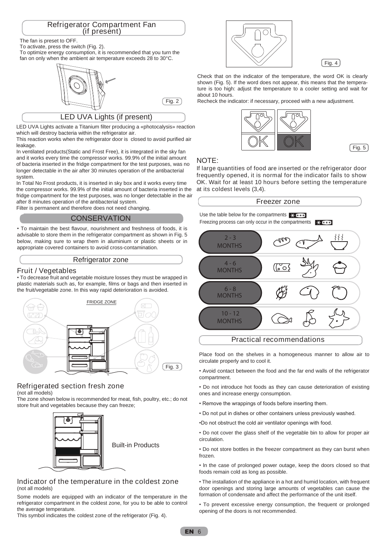# Refrigerator Compartment Fan (if present)

#### The fan is preset to OFF.

To activate, press the switch (Fig. 2).

To optimize energy consumption, it is recommended that you turn the fan on only when the ambient air temperature exceeds 28 to 30°C.



LED UVA Lights (if present)

LED UVA Lights activate a Titanium filter producing a «photocalysis» reaction which will destroy bacteria within the refrigerator air.

This reaction works when the refrigerator door is closed to avoid purified air leakage.

In ventilated products(Static and Frost Free), it is integrated in the sky fan and it works every time the compressor works. 99.9% of the initial amount of bacteria inserted in the fridge compartment for the test purposes, was no longer detectable in the air after 30 minutes operation of the antibacterial system.

In Total No Frost products, it is inserted in sky box and it works every time the compressor works. 99.9% of the initial amount of bacteria inserted in the fridge compartment for the test purposes, was no longer detectable in the air after 8 minutes operation of the antibacterial system.

Filter is permanent and therefore does not need changing.

## **CONSERVATION**

• To maintain the best flavour, nourishment and freshness of foods, it is advisable to store them in the refrigerator compartment as shown in Fig. 5 below, making sure to wrap them in aluminium or plastic sheets or in appropriate covered containers to avoid cross-contamination.

#### Refrigerator zone

### Fruit / Vegetables

• To decrease fruit and vegetable moisture losses they must be wrapped in plastic materials such as, for example, films or bags and then inserted in the fruit/vegetable zone. In this way rapid deterioration is avoided.



## Refrigerated section fresh zone

(not all models)

The zone shown below is recommended for meat, fish, poultry, etc.; do not store fruit and vegetables because they can freeze;



#### Indicator of the temperature in the coldest zone (not all models)

Some models are equipped with an indicator of the temperature in the refrigerator compartment in the coldest zone, for you to be able to control the average temperature.

This symbol indicates the coldest zone of the refrigerator (Fig. 4).



 $Fig. 4$ 

Check that on the indicator of the temperature, the word OK is clearly shown (Fig. 5). If the word does not appear, this means that the temperature is too high: adjust the temperature to a cooler setting and wait for about 10 hours.

Fig. 2 Recheck the indicator: if necessary, proceed with a new adjustment.



 $[$  Fig. 5  $]$ 

#### NOTE:

If large quantities of food are inserted or the refrigerator door frequently opened, it is normal for the indicator fails to show OK. Wait for at least 10 hours before setting the temperature at its coldest levels (3,4).



Place food on the shelves in a homogeneous manner to allow air to circulate properly and to cool it.

• Avoid contact between the food and the far end walls of the refrigerator compartment.

• Do not introduce hot foods as they can cause deterioration of existing ones and increase energy consumption.

- Remove the wrappings of foods before inserting them.
- Do not put in dishes or other containers unless previously washed.
- •Do not obstruct the cold air ventilator openings with food.

• Do not cover the glass shelf of the vegetable bin to allow for proper air circulation.

• Do not store bottles in the freezer compartment as they can burst when frozen.

• ln the case of prolonged power outage, keep the doors closed so that foods remain cold as long as possible.

• The installation of the appliance in a hot and humid location, with frequent door openings and storing large amounts of vegetables can cause the formation of condensate and affect the performance of the unit itself.

• To prevent excessive energy consumption, the frequent or prolonged opening of the doors is not recommended.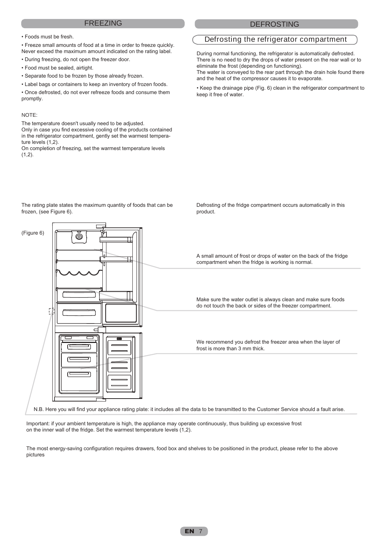#### FREEZING DEFROSTING

• Foods must be fresh.

• Freeze small amounts of food at a time in order to freeze quickly. Never exceed the maximum amount indicated on the rating label.

• During freezing, do not open the freezer door.

- Food must be sealed, airtight.
- Separate food to be frozen by those already frozen.
- Label bags or containers to keep an inventory of frozen foods.

• Once defrosted, do not ever refreeze foods and consume them promptly.

#### NOTE:

The temperature doesn't usually need to be adjusted.

Only in case you find excessive cooling of the products contained in the refrigerator compartment, gently set the warmest temperature levels (1,2).

On completion of freezing, set the warmest temperature levels  $(1,2)$ .

## Defrosting the refrigerator compartment

During normal functioning, the refrigerator is automatically defrosted. There is no need to dry the drops of water present on the rear wall or to eliminate the frost (depending on functioning).

The water is conveyed to the rear part through the drain hole found there and the heat of the compressor causes it to evaporate.

• Keep the drainage pipe (Fig. 6) clean in the refrigerator compartment to keep it free of water.

Defrosting of the fridge compartment occurs automatically in this



product.

Important: if your ambient temperature is high, the appliance may operate continuously, thus building up excessive frost on the inner wall of the fridge. Set the warmest temperature levels (1,2).

The most energy-saving configuration requires drawers, food box and shelves to be positioned in the product, please refer to the above pictures

The rating plate states the maximum quantity of foods that can be frozen, (see Figure 6).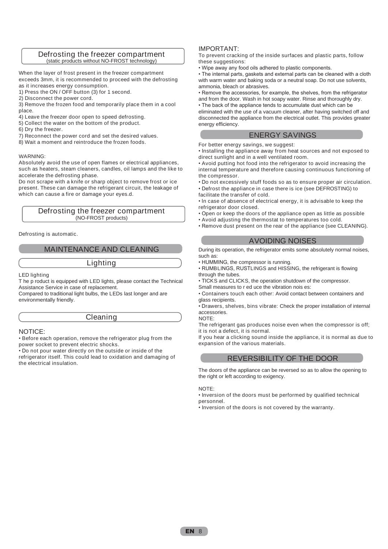#### Defrosting the freezer compartment (static products without NO-FROST technology)

When the layer of frost present in the freezer compartment exceeds 3mm, it is recommended to proceed with the defrosting as it increases energy consumption.

- 1) Press the ON / OFF button (3) for 1 second.
- 2) Disconnect the power cord.

3) Remove the frozen food and temporarily place them in a cool place.

- 4) Leave the freezer door open to speed defrosting.
- 5) Collect the water on the bottom of the product.
- 6) Dry the freezer.
- 7) Reconnect the power cord and set the desired values.
- 8) Wait a moment and reintroduce the frozen foods.

#### WARNING:

Absolutely avoid the use of open flames or electrical appliances, such as heaters, steam cleaners, candles, oil lamps and the like to accelerate the defrosting phase.

Do not scrape with a knife or sharp object to remove frost or ice present. These can damage the refrigerant circuit, the leakage of which can cause a fire or damage your eyes.d.

#### Defrosting the freezer compartment (NO-FROST products)

Defrosting is automatic.

#### MAINTENANCE AND CLEANING

Lighting

LED lighting

T he p roduct is equipped with LED lights, please contact the Technical Assistance Service in case of replacement.

Compared to traditional light bulbs, the LEDs last longer and are environmentally friendly.

#### Cleaning

#### NOTICE:

• Before each operation, remove the refrigerator plug from the power socket to prevent electric shocks.

• Do not pour water directly on the outside or inside of the refrigerator itself. This could lead to oxidation and damaging of the electrical insulation.

#### IMPORTANT:

To prevent cracking of the inside surfaces and plastic parts, follow these suggestions:

• Wipe away any food oils adhered to plastic components.

• The internal parts, gaskets and external parts can be cleaned with a cloth with warm water and baking soda or a neutral soap. Do not use solvents, ammonia, bleach or abrasives.

• Remove the accessories, for example, the shelves, from the refrigerator and from the door. Wash in hot soapy water. Rinse and thoroughly dry.

• The back of the appliance tends to accumulate dust which can be eliminated with the use of a vacuum cleaner, after having switched off and disconnected the appliance from the electrical outlet. This provides greater energy efficiency.

#### ENERGY SAVINGS

For better energy savings, we suggest:

• Installing the appliance away from heat sources and not exposed to direct sunlight and in a well ventilated room.

• Avoid putting hot food into the refrigerator to avoid increasing the internal temperature and therefore causing continuous functioning of the compressor.

• Do not excessively stuff foods so as to ensure proper air circulation. • Defrost the appliance in case there is ice (see DEFROSTING) to facilitate the transfer of cold.

• ln case of absence of electrical energy, it is advisable to keep the refrigerator door closed.

- Open or keep the doors of the appliance open as little as possible
- Avoid adjusting the thermostat to temperatures too cold.
- Remove dust present on the rear of the appliance (see CLEANING).

#### AVOIDING NOISES

During its operation, the refrigerator emits some absolutely normal noises, such as:

• HUMMING, the compressor is running.

• RUMBLINGS, RUSTLINGS and HISSING, the refrigerant is flowing through the tubes.

• TICKS and CLICKS, the operation shutdown of the compressor.

Small measures to r ed uce the vibration nois es:

• Containers touch each other: Avoid contact between containers and glass recipients.

• Drawers, shelves, bins vibrate: Check the proper installation of internal accessories. NOTE:

The refrigerant gas produces noise even when the compressor is off; it is not a defect, it is normal.

If you hear a clicking sound inside the appliance, it is normal as due to expansion of the various materials.

#### REVERSIBILITY OF THE DOOR

The doors of the appliance can be reversed so as to allow the opening to the right or left according to exigency.

#### NOTE:

• Inversion of the doors must be performed by qualified technical personnel.

• Inversion of the doors is not covered by the warranty.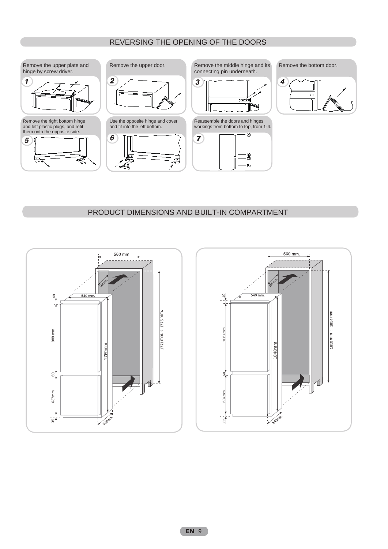## REVERSING THE OPENING OF THE DOORS



## PRODUCT DIMENSIONS AND BUILT-IN COMPARTMENT



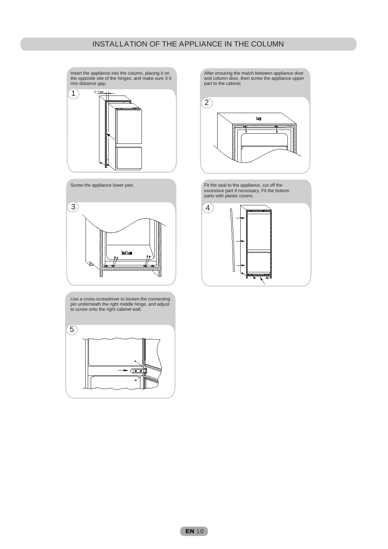Insert the appliance into the column, placing it on the opposite site of the hinges, and make sure 3-5 mm distance gap.





Use a cross-screwdriver to loosen the connecting pin underneath the right middle hinge, and adjust to screw onto the right cabinet wall.

5  $\overline{\mathbb{C}^{\bullet}}$  After ensuring the match between appliance door and column door, then screw the appliance upper part to the cabinet



Fit the seal to the appliance, cut off the excessive part if necessary. Fit the bottom parts with plastic covers.

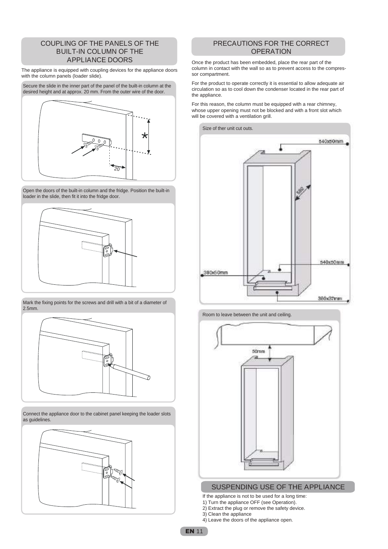### COUPLING OF THE PANELS OF THE BUILT-IN COLUMN OF THE APPLIANCE DOORS

The appliance is equipped with coupling devices for the appliance doors with the column panels (loader slide).



Open the doors of the built-in column and the fridge. Position the built-in loader in the slide, then fit it into the fridge door.



Mark the fixing points for the screws and drill with a bit of a diameter of 2.5mm.



Connect the appliance door to the cabinet panel keeping the loader slots as guidelines.



## PRECAUTIONS FOR THE CORRECT **OPERATION**

Once the product has been embedded, place the rear part of the column in contact with the wall so as to prevent access to the compressor compartment.

For the product to operate correctly it is essential to allow adequate air circulation so as to cool down the condenser located in the rear part of the appliance.

For this reason, the column must be equipped with a rear chimney, whose upper opening must not be blocked and with a front slot which will be covered with a ventilation grill.







### SUSPENDING USE OF THE APPLIANCE

- If the appliance is not to be used for a long time:
- 1) Turn the appliance OFF (see Operation).
- 2) Extract the plug or remove the safety device.
- 3) Clean the appliance
- 4) Leave the doors of the appliance open.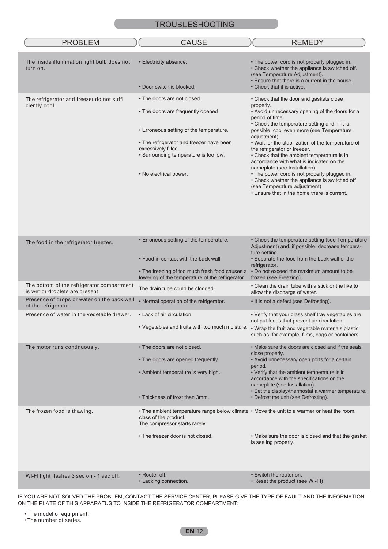| <b>PROBLEM</b>                                                                | <b>CAUSE</b>                                                                                                                                         | <b>REMEDY</b>                                                                                                                                                                                                                                                 |
|-------------------------------------------------------------------------------|------------------------------------------------------------------------------------------------------------------------------------------------------|---------------------------------------------------------------------------------------------------------------------------------------------------------------------------------------------------------------------------------------------------------------|
| The inside illumination light bulb does not<br>turn on.                       | • Electricity absence.<br>• Door switch is blocked.                                                                                                  | • The power cord is not properly plugged in.<br>• Check whether the appliance is switched off.<br>(see Temperature Adjustment).<br>. Ensure that there is a current in the house.<br>• Check that it is active.                                               |
|                                                                               |                                                                                                                                                      |                                                                                                                                                                                                                                                               |
| The refrigerator and freezer do not suffi<br>ciently cool.                    | • The doors are not closed.<br>• The doors are frequently opened<br>• Erroneous setting of the temperature.                                          | • Check that the door and gaskets close<br>properly.<br>• Avoid unnecessary opening of the doors for a<br>period of time.<br>• Check the temperature setting and, if it is<br>possible, cool even more (see Temperature                                       |
|                                                                               |                                                                                                                                                      | adjustment)                                                                                                                                                                                                                                                   |
|                                                                               | • The refrigerator and freezer have been<br>excessively filled.<br>• Surrounding temperature is too low.<br>• No electrical power.                   | • Wait for the stabilization of the temperature of<br>the refrigerator or freezer.<br>• Check that the ambient temperature is in<br>accordance with what is indicated on the<br>nameplate (see Installation).<br>• The power cord is not properly plugged in. |
|                                                                               |                                                                                                                                                      | • Check whether the appliance is switched off<br>(see Temperature adjustment)<br>. Ensure that in the home there is current.                                                                                                                                  |
| The food in the refrigerator freezes.                                         | • Erroneous setting of the temperature.                                                                                                              | • Check the temperature setting (see Temperature<br>Adjustment) and, if possible, decrease tempera-<br>ture setting.                                                                                                                                          |
|                                                                               | . Food in contact with the back wall.                                                                                                                | • Separate the food from the back wall of the<br>refrigerator.                                                                                                                                                                                                |
|                                                                               | • The freezing of too much fresh food causes a<br>lowering of the temperature of the refrigerator                                                    | . Do not exceed the maximum amount to be<br>frozen (see Freezing).                                                                                                                                                                                            |
| The bottom of the refrigerator compartment<br>is wet or droplets are present. | The drain tube could be clogged.                                                                                                                     | • Clean the drain tube with a stick or the like to<br>allow the discharge of water.                                                                                                                                                                           |
| Presence of drops or water on the back wall<br>of the refrigerator.           | • Normal operation of the refrigerator.                                                                                                              | • It is not a defect (see Defrosting).                                                                                                                                                                                                                        |
| Presence of water in the vegetable drawer.                                    | • Lack of air circulation.                                                                                                                           | • Verify that your glass shelf tray vegetables are<br>not put foods that prevent air circulation.                                                                                                                                                             |
|                                                                               |                                                                                                                                                      | . Vegetables and fruits with too much moisture. . Wrap the fruit and vegetable materials plastic<br>such as, for example, films, bags or containers.                                                                                                          |
| The motor runs continuously.                                                  | • The doors are not closed.                                                                                                                          | • Make sure the doors are closed and if the seals<br>close properly.                                                                                                                                                                                          |
|                                                                               | • The doors are opened frequently.                                                                                                                   | • Avoid unnecessary open ports for a certain                                                                                                                                                                                                                  |
|                                                                               | • Ambient temperature is very high.                                                                                                                  | period.<br>• Verify that the ambient temperature is in<br>accordance with the specifications on the<br>nameplate (see Installation).                                                                                                                          |
|                                                                               | • Thickness of frost than 3mm.                                                                                                                       | • Set the display/thermostat a warmer temperature.<br>• Defrost the unit (see Defrosting).                                                                                                                                                                    |
| The frozen food is thawing.                                                   | . The ambient temperature range below climate . Move the unit to a warmer or heat the room.<br>class of the product.<br>The compressor starts rarely |                                                                                                                                                                                                                                                               |
|                                                                               | • The freezer door is not closed.                                                                                                                    | • Make sure the door is closed and that the gasket<br>is sealing properly.                                                                                                                                                                                    |
| WI-FI light flashes 3 sec on - 1 sec off.                                     | • Router off.                                                                                                                                        | • Switch the router on.                                                                                                                                                                                                                                       |
|                                                                               | • Lacking connection.                                                                                                                                | • Reset the product (see WI-FI)                                                                                                                                                                                                                               |

IF YOU ARE NOT SOLVED THE PROBLEM, CONTACT THE SERVICE CENTER, PLEASE GIVE THE TYPE OF FAULT AND THE INFORMATION ON THE PLATE OF THIS APPARATUS TO INSIDE THE REFRIGERATOR COMPARTMENT:

• The model of equipment.

• The number of series.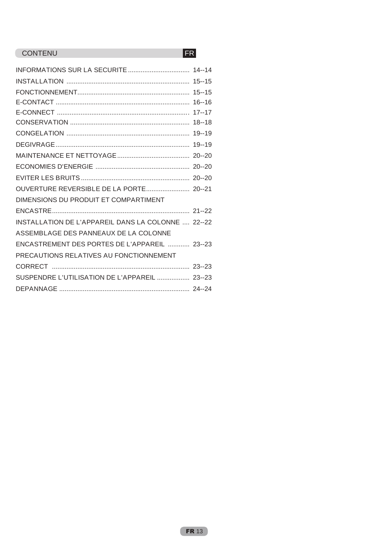## CONTENU FR

| DIMENSIONS DU PRODUIT ET COMPARTIMENT              |  |
|----------------------------------------------------|--|
|                                                    |  |
| INSTALLATION DE L'APPAREIL DANS LA COLONNE  22--22 |  |
| ASSEMBLAGE DES PANNEAUX DE LA COLONNE              |  |
| ENCASTREMENT DES PORTES DE L'APPAREIL  23--23      |  |
| PRECAUTIONS RELATIVES AU FONCTIONNEMENT            |  |
|                                                    |  |
| SUSPENDRE L'UTILISATION DE L'APPAREIL  23--23      |  |
|                                                    |  |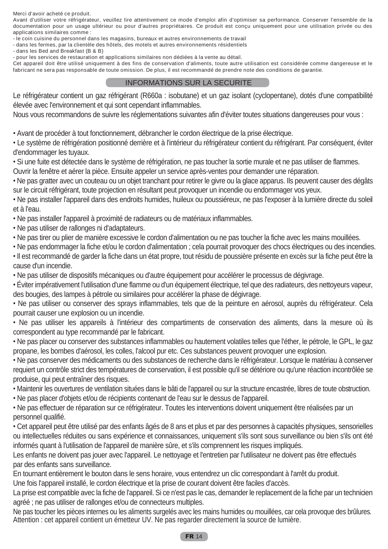Merci d'avoir acheté ce produit.

Avant d'utiliser votre réfrigérateur, veuillez lire attentivement ce mode d'emploi afin d'optimiser sa performance. Conserver l'ensemble de la documentation pour un usage ultérieur ou pour d'autres propriétaires. Ce produit est conçu uniquement pour une utilisation privée ou des applications similaires comme :

- le coin cuisine du personnel dans les magasins, bureaux et autres environnements de travail

- dans les fermes, par la clientèle des hôtels, des motels et autres environnements résidentiels

- dans les Bed and Breakfast (B & B)

- pour les services de restauration et applications similaires non dédiées à la vente au détail.

Cet appareil doit être utilisé uniquement à des fins de conservation d'aliments, toute autre utilisation est considérée comme dangereuse et le fabricant ne sera pas responsable de toute omission. De plus, il est recommandé de prendre note des conditions de garantie.

## INFORMATIONS SUR LA SECURITE

Le réfrigérateur contient un gaz réfrigérant (R660a : isobutane) et un gaz isolant (cyclopentane), dotés d'une compatibilité élevée avec l'environnement et qui sont cependant inflammables.

Nous vous recommandons de suivre les réglementations suivantes afin d'éviter toutes situations dangereuses pour vous :

• Avant de procéder à tout fonctionnement, débrancher le cordon électrique de la prise électrique.

• Le système de réfrigération positionné derrière et à l'intérieur du réfrigérateur contient du réfrigérant. Par conséquent, éviter d'endommager les tuyaux.

• Si une fuite est détectée dans le système de réfrigération, ne pas toucher la sortie murale et ne pas utiliser de flammes.

Ouvrir la fenêtre et aérer la pièce. Ensuite appeler un service après-ventes pour demander une réparation.

• Ne pas gratter avec un couteau ou un objet tranchant pour retirer le givre ou la glace apparus. Ils peuvent causer des dégâts sur le circuit réfrigérant, toute projection en résultant peut provoquer un incendie ou endommager vos yeux.

• Ne pas installer l'appareil dans des endroits humides, huileux ou poussiéreux, ne pas l'exposer à la lumière directe du soleil et à l'eau.

• Ne pas installer l'appareil à proximité de radiateurs ou de matériaux inflammables.

• Ne pas utiliser de rallonges ni d'adaptateurs.

• Ne pas tirer ou plier de manière excessive le cordon d'alimentation ou ne pas toucher la fiche avec les mains mouillées.

• Ne pas endommager la fiche et/ou le cordon d'alimentation ; cela pourrait provoquer des chocs électriques ou des incendies.

• Il est recommandé de garder la fiche dans un état propre, tout résidu de poussière présente en excès sur la fiche peut être la cause d'un incendie.

• Ne pas utiliser de dispositifs mécaniques ou d'autre équipement pour accélérer le processus de dégivrage.

• Éviter impérativement l'utilisation d'une flamme ou d'un équipement électrique, tel que des radiateurs, des nettoyeurs vapeur, des bougies, des lampes à pétrole ou similaires pour accélérer la phase de dégivrage.

• Ne pas utiliser ou conserver des sprays inflammables, tels que de la peinture en aérosol, auprès du réfrigérateur. Cela pourrait causer une explosion ou un incendie.

• Ne pas utiliser les appareils à l'intérieur des compartiments de conservation des aliments, dans la mesure où ils correspondent au type recommandé par le fabricant.

• Ne pas placer ou conserver des substances inflammables ou hautement volatiles telles que l'éther, le pétrole, le GPL, le gaz propane, les bombes d'aérosol, les colles, l'alcool pur etc. Ces substances peuvent provoquer une explosion.

• Ne pas conserver des médicaments ou des substances de recherche dans le réfrigérateur. Lorsque le matériau à conserver requiert un contrôle strict des températures de conservation, il est possible qu'il se détériore ou qu'une réaction incontrôlée se produise, qui peut entraîner des risques.

- Maintenir les ouvertures de ventilation situées dans le bâti de l'appareil ou sur la structure encastrée, libres de toute obstruction.
- Ne pas placer d'objets et/ou de récipients contenant de l'eau sur le dessus de l'appareil.

• Ne pas effectuer de réparation sur ce réfrigérateur. Toutes les interventions doivent uniquement être réalisées par un personnel qualifié.

• Cet appareil peut être utilisé par des enfants âgés de 8 ans et plus et par des personnes à capacités physiques, sensorielles ou intellectuelles réduites ou sans expérience et connaissances, uniquement s'ils sont sous surveillance ou bien s'ils ont été informés quant à l'utilisation de l'appareil de manière sûre, et s'ils comprennent les risques impliqués.

Les enfants ne doivent pas jouer avec l'appareil. Le nettoyage et l'entretien par l'utilisateur ne doivent pas être effectués par des enfants sans surveillance.

En tournant entièrement le bouton dans le sens horaire, vous entendrez un clic correspondant à l'arrêt du produit.

Une fois l'appareil installé, le cordon électrique et la prise de courant doivent être faciles d'accès.

La prise est compatible avec la fiche de l'appareil. Si ce n'est pas le cas, demander le replacement de la fiche par un technicien agréé ; ne pas utiliser de rallonges et/ou de connecteurs multiples.

Ne pas toucher les pièces internes ou les aliments surgelés avec les mains humides ou mouillées, car cela provoque des brûlures. Attention : cet appareil contient un émetteur UV. Ne pas regarder directement la source de lumière.

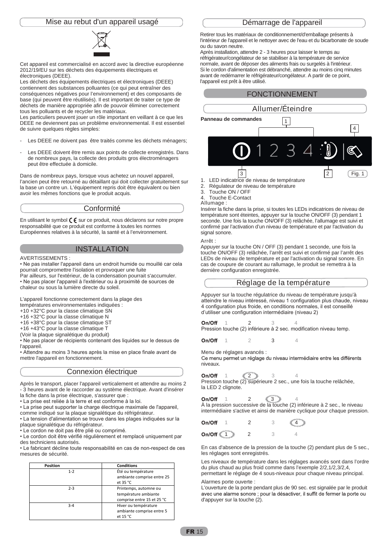#### Mise au rebut d'un appareil usagé



Cet appareil est commercialisé en accord avec la directive européenne 2012/19/EU sur les déchets des équipements électriques et électroniques (DEEE).

Les déchets des équipements électriques et électroniques (DEEE) contiennent des substances polluantes (ce qui peut entraîner des conséquences négatives pour l'environnement) et des composants de base (qui peuvent être réutilisés). Il est important de traiter ce type de déchets de manière appropriée afin de pouvoir éliminer correctement tous les polluants et de recycler les matériaux.

Les particuliers peuvent jouer un rôle important en veillant à ce que les DEEE ne deviennent pas un problème environnemental. Il est essentiel de suivre quelques règles simples:

- Les DEEE ne doivent pas être traités comme les déchets ménagers;
- Les DEEE doivent être remis aux points de collecte enregistrés. Dans de nombreux pays, la collecte des produits gros électroménagers peut être effectuée à domicile.

Dans de nombreux pays, lorsque vous achetez un nouvel appareil, l'ancien peut être retourné au détaillant qui doit collecter gratuitement sur la base un contre un. L'équipement repris doit être équivalent ou bien avoir les mêmes fonctions que le produit acquis.

#### Conformité

En utilisant le symbol  $\zeta \in S$  sur ce produit, nous déclarons sur notre propre responsabilité que ce produit est conforme à toutes les normes Européennes relatives à la sécurité, la santé et à l'environnement.

#### INSTALLATION

#### AVERTISSEMENTS :

• Ne pas installer l'appareil dans un endroit humide ou mouillé car cela pourrait compromettre l'isolation et provoquer une fuite

Par ailleurs, sur l'extérieur, de la condensation pourrait s'accumuler. • Ne pas placer l'appareil à l'extérieur ou à proximité de sources de chaleur ou sous la lumière directe du soleil.

L'appareil fonctionne correctement dans la plage des

- températures environnementales indiquées :
- +10 +32°C pour la classe climatique SN
- +16 +32°C pour la classe climatique N
- +16 +38°C pour la classe climatique ST
- +16 +43°C pour la classe climatique T
- (Voir la plaque signalétique du produit)

• Ne pas placer de récipients contenant des liquides sur le dessus de l'appareil.

• Attendre au moins 3 heures après la mise en place finale avant de mettre l'appareil en fonctionnement.

#### Connexion électrique

Après le transport, placer l'appareil verticalement et attendre au moins 2 - 3 heures avant de le raccorder au système électrique. Avant d'insérer la fiche dans la prise électrique, s'assurer que :

• La prise est reliée à la terre et est conforme à la loi.

• La prise peut supporter la charge électrique maximale de l'appareil,

comme indiqué sur la plaque signalétique du réfrigérateur.

• La tension d'alimentation se trouve dans les plages indiquées sur la plaque signalétique du réfrigérateur.

• Le cordon ne doit pas être plié ou comprimé.

• Le cordon doit être vérifié régulièrement et remplacé uniquement par des techniciens autorisés.

• Le fabricant décline toute responsabilité en cas de non-respect de ces mesures de sécurité.

| Position | <b>Conditions</b>                                                           |
|----------|-----------------------------------------------------------------------------|
| $1 - 2$  | Été ou température<br>ambiante comprise entre 25<br>et $35 °C$              |
| $2-3$    | Printemps, automne ou<br>température ambiante<br>comprise entre 15 et 25 °C |
| $3 - 4$  | Hiver ou température<br>ambiante comprise entre 5<br>et 15 °C               |

#### Démarrage de l'appareil

Retirer tous les matériaux de conditionnement/d'emballage présents à l'intérieur de l'appareil et le nettoyer avec de l'eau et du bicarbonate de soude ou du savon neutre.

Après installation, attendre 2 - 3 heures pour laisser le temps au réfrigérateur/congélateur de se stabiliser à la température de service normale, avant de déposer des aliments frais ou surgelés à l'intérieur. Si le cordon d'alimentation est débranché, attendre au moins cinq minutes avant de redémarrer le réfrigérateur/congélateur. A partir de ce point, l'appareil est prêt à être utilisé.

#### FONCTIONNEMENT

|                                |                                                                  | Allumer/Éteindre |               |        |
|--------------------------------|------------------------------------------------------------------|------------------|---------------|--------|
|                                | Panneau de commandes                                             |                  |               | 4      |
|                                | U                                                                |                  |               |        |
| 1.<br>$\overline{\phantom{a}}$ | 3<br>LED indicatrice de niveau de température<br>$\sim$ $\prime$ |                  | $\mathcal{P}$ | Fig. 1 |

- 2. Régulateur de niveau de température
- 3. Touche ON / OFF

4. Touche E-Contact

#### Allumage :

Insérer la fiche dans la prise, si toutes les LEDs indicatrices de niveau de température sont éteintes, appuyer sur la touche ON/OFF (3) pendant 1 seconde. Une fois la touche ON/OFF (3) relâchée, l'allumage est suivi et confirmé par l'activation d'un niveau de température et par l'activation du signal sonore.

Arrêt :

Appuyer sur la touche ON / OFF (3) pendant 1 seconde, une fois la touche ON/OFF (3) relâchée, l'arrêt est suivi et confirmé par l'arrêt des LEDs de niveau de température et par l'activation du signal sonore. En cas de coupure de courant au rallumage, le produit se remettra à la dernière configuration enregistrée.

## Réglage de la température

Appuyer sur la touche régulatrice du niveau de température jusqu'à atteindre le niveau intéressé, niveau 1 configuration plus chaude, niveau 4 configuration plus froide, en conditions normales, il est conseillé d'utiliser une configuration intermédiaire (niveau 2)

 $On/Off$ 1 2 3 4 Pression touche (2) inférieure à 2 sec. modification niveau temp.

On/Off 1 2 3 4

Menu de réglages avancés :

Ce menu permet un réglage du niveau intermédiaire entre les différents niveaux.

On/Off  $1 \leq 2 \geq 3$  4 Pression touche (2) supérieure 2 sec., une fois la touche relâchée, la LED 2 clignote.

1 2  $\frac{2}{3}$  3  $\frac{3}{5}$  4 À la pression successive de la touche (2) inférieure à 2 sec., le niveau intermédiaire s'active et ainsi de manière cyclique pour chaque pression.

| On/Off                 |  | $= 4$ |
|------------------------|--|-------|
| On/Off $\frac{1}{2}$ 1 |  |       |

En cas d'absence de la pression de la touche (2) pendant plus de 5 sec., les réglages sont enregistrés.

Les niveaux de température dans les réglages avancés sont dans l'ordre du plus chaud au plus froid comme dans l'exemple 2/2,1/2,3/2,4, permettant le réglage de 4 sous-niveaux pour chaque niveau principal.

#### Alarmes porte ouverte :

L'ouverture de la porte pendant plus de 90 sec. est signalée par le produit avec une alarme sonore ; pour la désactiver, il suffit de fermer la porte ou d'appuyer sur la touche (2).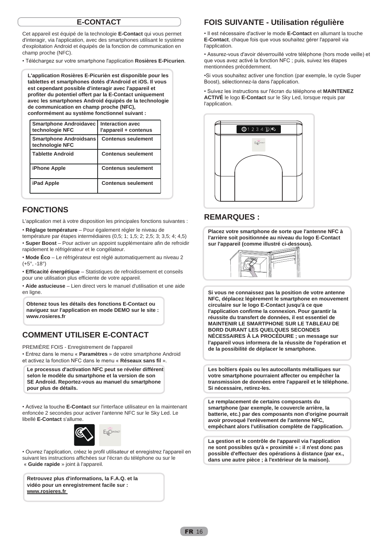## **E-CONTACT**

Cet appareil est équipé de la technologie **E-Contact** qui vous permet d'interagir, via l'application, avec des smartphones utilisant le système d'exploitation Android et équipés de la fonction de communication en champ proche (NFC).

• Téléchargez sur votre smartphone l'application **Rosières E-Picurien**.

**L'application Rosières E-Picurièn est disponible pour les tablettes et smartphones dotés d'Android et iOS. Il vous est cependant possible d'interagir avec l'appareil et profiter du potentiel offert par la E-Contact uniquement avec les smartphones Android équipés de la technologie de communication en champ proche (NFC), conformément au système fonctionnel suivant :**

| <b>Smartphone Androidavec</b><br>technologie NFC | Interaction avec<br>l'appareil + contenus |
|--------------------------------------------------|-------------------------------------------|
| <b>Smartphone Androidsans</b><br>technologie NFC | <b>Contenus seulement</b>                 |
| Tablette Android                                 | <b>Contenus seulement</b>                 |
| iPhone Apple                                     | <b>Contenus seulement</b>                 |
| <b>iPad Apple</b>                                | <b>Contenus seulement</b>                 |

## **FONCTIONS**

L'application met à votre disposition les principales fonctions suivantes :

• **Réglage température** – Pour également régler le niveau de

température par étapes intermédiaires (0,5; 1; 1,5; 2; 2,5; 3; 3,5; 4; 4,5) • **Super Boost** – Pour activer un appoint supplémentaire afin de refroidir rapidement le réfrigérateur et le congélateur.

• **Mode Éco** – Le réfrigérateur est réglé automatiquement au niveau 2  $(+5^{\circ}, -18^{\circ})$ 

• **Efficacité énergétique** – Statistiques de refroidissement et conseils pour une utilisation plus efficiente de votre appareil.

• **Aide astucieuse** – Lien direct vers le manuel d'utilisation et une aide en ligne.

**Obtenez tous les détails des fonctions E-Contact ou naviguez sur l'application en mode DEMO sur le site : www.rosieres.fr**

## **COMMENT UTILISER E-CONTACT**

PREMIÈRE FOIS - Enregistrement de l'appareil

• Entrez dans le menu « **Paramètres** » de votre smartphone Android et activez la fonction NFC dans le menu « **Réseaux sans fil** ».

Le processus d'activation NFC peut se révéler différent **selon le modèle du smartphone et la version de son SE Android. Reportez-vous au manuel du smartphone pour plus de détails.**

• Activez la touche **E-Contact** sur l'interface utilisateur en la maintenant enfoncée 2 secondes pour activer l'antenne NFC sur le Sky Led. Le libellé **E-Contact** s'allume.



• Ouvrez l'application, créez le profil utilisateur et enregistrez l'appareil en suivant les instructions affichées sur l'écran du téléphone ou sur le « **Guide rapide** » joint à l'appareil.

**Retrouvez plus d'informations, la F.A.Q. et la vidéo pour un enregistrement facile sur : www.rosieres.fr**

## **FOIS SUIVANTE - Utilisation régulière**

• Il est nécessaire d'activer le mode **E-Contact** en allumant la touche **E-Contact**, chaque fois que vous souhaitez gérer l'appareil via l'application.

• Assurez-vous d'avoir déverrouillé votre téléphone (hors mode veille) et que vous avez activé la fonction NFC ; puis, suivez les étapes mentionnées précédemment.

•Si vous souhaitez activer une fonction (par exemple, le cycle Super Boost), sélectionnez-la dans l'application.

• Suivez les instructions sur l'écran du téléphone et **MAINTENEZ ACTIVÉ** le logo **E-Contact** sur le Sky Led, lorsque requis par l'application.



## **REMARQUES :**

**Placez votre smartphone de sorte que l'antenne NFC à l'arrière soit positionnée au niveau du logo E-Contact sur l'appareil (comme illustré ci-dessous).**



**Si vous ne connaissez pas la position de votre antenne NFC, déplacez légèrement le smartphone en mouvement circulaire sur le logo E-Contact jusqu'à ce que l'application confirme la connexion. Pour garantir la réussite du transfert de données, il est essentiel de MAINTENIR LE SMARTPHONE SUR LE TABLEAU DE BORD DURANT LES QUELQUES SECONDES NÉCESSAIRES À LA PROCÉDURE ; un message sur l'appareil vous informera de la réussite de l'opération et de la possibilité de déplacer le smartphone.**

**Les boîtiers épais ou les autocollants métalliques sur votre smartphone pourraient affecter ou empêcher la transmission de données entre l'appareil et le téléphone. Si nécessaire, retirez-les.**

**Le remplacement de certains composants du smartphone (par exemple, le couvercle arrière, la batterie, etc.) par des composants non d'origine pourrait avoir provoqué l'enlèvement de l'antenne NFC, empêchant alors l'utilisation complète de l'application.**

**La gestion et le contrôle de l'appareil via l'application ne sont possibles qu'à « proximité » : il n'est donc pas possible d'effectuer des opérations à distance (par ex., dans une autre pièce ; à l'extérieur de la maison).**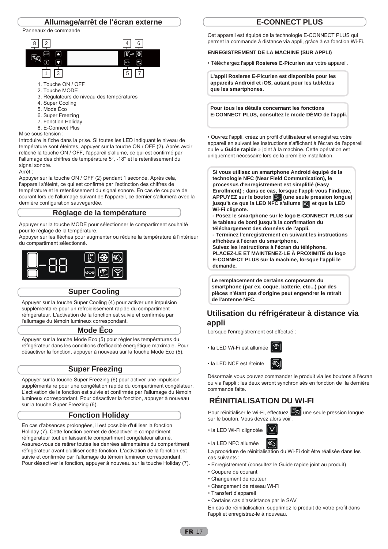

Panneaux de commande



- 1. Touche ON / OFF
- 2. Touche MODE
- 3. Régulateurs de niveau des températures
- 4. Super Cooling
- 5. Mode Éco
- 6. Super Freezing
- 7. Fonction Holiday
- 8. E-Connect Plus

Mise sous tension :

Introduire la fiche dans la prise. Si toutes les LED indiquant le niveau de température sont éteintes, appuyer sur la touche ON / OFF (2). Après avoir relâché la touche ON / OFF, l'appareil s'allume, ce qui est confirmé par l'allumage des chiffres de température 5°, -18° et le retentissement du signal sonore.

Arrêt :

Appuyer sur la touche ON / OFF (2) pendant 1 seconde. Après cela, l'appareil s'éteint, ce qui est confirmé par l'extinction des chiffres de température et le retentissement du signal sonore. En cas de coupure de courant lors de l'allumage suivant de l'appareil, ce dernier s'allumera avec la dernière configuration sauvegardée.

#### **Réglage de la température**

Appuyer sur la touche MODE pour sélectionner le compartiment souhaité pour le réglage de la température.

Appuyer sur les flèches pour augmenter ou réduire la température à l'intérieur du compartiment sélectionné.



### **Super Cooling**

Appuyer sur la touche Super Cooling (4) pour activer une impulsion supplémentaire pour un refroidissement rapide du compartiment réfrigérateur. L'activation de la fonction est suivie et confirmée par l'allumage du témoin lumineux correspondant.

#### **Mode Éco**

Appuyer sur la touche Mode Eco (5) pour régler les températures du réfrigérateur dans les conditions d'efficacité énergétique maximale. Pour désactiver la fonction, appuyer à nouveau sur la touche Mode Eco (5).

### **Super Freezing**

Appuyer sur la touche Super Freezing (6) pour activer une impulsion supplémentaire pour une congélation rapide du compartiment congélateur. L'activation de la fonction est suivie et confirmée par l'allumage du témoin lumineux correspondant. Pour désactiver la fonction, appuyer à nouveau sur la touche Super Freezing (6).

### **Fonction Holiday**

En cas d'absences prolongées, il est possible d'utiliser la fonction Holiday (7). Cette fonction permet de désactiver le compartiment réfrigérateur tout en laissant le compartiment congélateur allumé. Assurez-vous de retirer toutes les denrées alimentaires du compartiment réfrigérateur avant d'utiliser cette fonction. L'activation de la fonction est suivie et confirmée par l'allumage du témoin lumineux correspondant. Pour désactiver la fonction, appuyer à nouveau sur la touche Holiday (7).

## **E-CONNECT PLUS**

Cet appareil est équipé de la technologie E-CONNECT PLUS qui permet la commande à distance via appli, grâce à sa fonction Wi-Fi.

#### **ENREGISTREMENT DE LA MACHINE (SUR APPLI)**

• Téléchargez l'appli **Rosieres E-Picurien** sur votre appareil.

**L'appli Rosieres E-Picurien est disponible pour les appareils Android et iOS, autant pour les tablettes que les smartphones.**

**Pour tous les détails concernant les fonctions E-CONNECT PLUS, consultez le mode DÉMO de l'appli.**

• Ouvrez l'appli, créez un profil d'utilisateur et enregistrez votre appareil en suivant les instructions s'affichant à l'écran de l'appareil ou le « **Guide rapide** » joint à la machine. Cette opération est uniquement nécessaire lors de la première installation.

**Si vous utilisez un smartphone Android équipé de la technologie NFC (Near Field Communication), le processus d'enregistrement est simplifié (Easy Enrollment) ; dans ce cas, lorsque l'appli vous l'indique, APPUYEZ sur le bouton (une seule pression longue)**  jusqu'à ce que la LED NFC s'allume **et que la LED Wi-Fi clignote.**

**- Posez le smartphone sur le logo E-CONNECT PLUS sur le tableau de bord jusqu'à la confirmation du téléchargement des données de l'appli.**

**- Terminez l'enregistrement en suivant les instructions affichées à l'écran du smartphone.** 

**Suivez les instructions à l'écran du téléphone, PLACEZ-LE ET MAINTENEZ-LE À PROXIMITÉ du logo E-CONNECT PLUS sur la machine, lorsque l'appli le demande.**

**Le remplacement de certains composants du smartphone (par ex. coque, batterie, etc...) par des pièces n'étant pas d'origine peut engendrer le retrait de l'antenne NFC.** 

## **Utilisation du réfrigérateur à distance via appli**

Lorsque l'enregistrement est effectué :

• la LED Wi-Fi est allumée



Désormais vous pouvez commander le produit via les boutons à l'écran ou via l'appli : les deux seront synchronisés en fonction de la dernière commande faite.

## **RÉINITIALISATION DU WI-FI**

Pour réinitialiser le Wi-Fi, effectuez  $\left[\infty\right]$  une seule pression longue sur le bouton. Vous devez alors voir :



• la LED NFC allumée

La procédure de réinitialisation du Wi-Fi doit être réalisée dans les cas suivants :

• Enregistrement (consultez le Guide rapide joint au produit)

⇖

- Coupure de courant
- Changement de routeur
- Changement de réseau Wi-Fi
- Transfert d'appareil
- Certains cas d'assistance par le SAV

En cas de réinitialisation, supprimez le produit de votre profil dans l'appli et enregistrez-le à nouveau.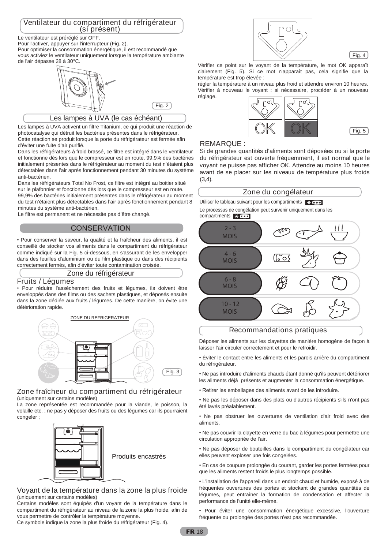# Ventilateur du compartiment du réfrigérateur (si présent)

Le ventilateur est préréglé sur OFF.

Pour l'activer, appuyer sur l'interrupteur (Fig. 2).

Pour optimiser la consommation énergétique, il est recommandé que vous activiez le ventilateur uniquement lorsque la température ambiante de l'air dépasse 28 à 30°C.



## Les lampes à UVA (le cas échéant)

Les lampes à UVA activent un filtre Titanium, ce qui produit une réaction de photocatalyse qui détruit les bactéries présentes dans le réfrigérateur. Cette réaction se produit lorsque la porte du réfrigérateur est fermée afin d'éviter une fuite d'air purifié.

Dans les réfrigérateurs à froid brassé, ce filtre est intégré dans le ventilateur et fonctionne dès lors que le compresseur est en route. 99,9% des bactéries initialement présentes dans le réfrigérateur au moment du test n'étaient plus détectables dans l'air après fonctionnement pendant 30 minutes du système anti-bactérien.

Dans les réfrigérateurs Total No Frost, ce filtre est intégré au boitier situé sur le plafonnier et fonctionne dès lors que le compresseur est en route. 99,9% des bactéries initialement présentes dans le réfrigérateur au moment du test n'étaient plus détectables dans l'air après fonctionnement pendant 8 minutes du système anti-bactérien.

Le filtre est permanent et ne nécessite pas d'être changé.

## **CONSERVATION**

• Pour conserver la saveur, la qualité et la fraîcheur des aliments, il est conseillé de stocker vos aliments dans le compartiment du réfrigérateur comme indiqué sur la Fig. 5 ci-dessous, en s'assurant de les envelopper dans des feuilles d'aluminium ou du film plastique ou dans des récipients correctement fermés, afin d'éviter toute contamination croisée.

#### Zone du réfrigérateur

## Fruits / Légumes

• Pour réduire l'assèchement des fruits et légumes, ils doivent être enveloppés dans des films ou des sachets plastiques, et déposés ensuite dans la zone dédiée aux fruits / légumes. De cette manière, on évite une détérioration rapide.



#### Zone fraîcheur du compartiment du réfrigérateur (uniquement sur certains modèles)

La zone représentée est recommandée pour la viande, le poisson, la volaille etc. ; ne pas y déposer des fruits ou des légumes car ils pourraient congeler ;



## Voyant de la température dans la zone la plus froide (uniquement sur certains modèles)

Certains modèles sont équipés d'un voyant de la température dans le compartiment du réfrigérateur au niveau de la zone la plus froide, afin de vous permettre de contrôler la température moyenne.

Ce symbole indique la zone la plus froide du réfrigérateur (Fig. 4).





Vérifier ce point sur le voyant de la température, le mot OK apparaît clairement (Fig. 5). Si ce mot n'apparaît pas, cela signifie que la température est trop élevée :

régler la température à un niveau plus froid et attendre environ 10 heures. Vérifier à nouveau le voyant : si nécessaire, procéder à un nouveau réglage.





### REMARQUE :

Si de grandes quantités d'aliments sont déposées ou si la porte du réfrigérateur est ouverte fréquemment, il est normal que le voyant ne puisse pas afficher OK. Attendre au moins 10 heures avant de se placer sur les niveaux de température plus froids (3,4).

## Zone du congélateur

Utiliser le tableau suivant pour les compartiments  $\mathbf{X}$ Le processus de congélation peut survenir uniquement dans les

compartiments  $*$   $*$ 



### Recommandations pratiques

Déposer les aliments sur les clayettes de manière homogène de façon à laisser l'air circuler correctement et pour le refroidir.

• Éviter le contact entre les aliments et les parois arrière du compartiment du réfrigérateur.

• Ne pas introduire d'aliments chauds étant donné qu'ils peuvent détériorer les aliments déjà présents et augmenter la consommation énergétique.

• Retirer les emballages des aliments avant de les introduire.

• Ne pas les déposer dans des plats ou d'autres récipients s'ils n'ont pas été lavés préalablement.

• Ne pas obstruer les ouvertures de ventilation d'air froid avec des aliments.

• Ne pas couvrir la clayette en verre du bac à légumes pour permettre une circulation appropriée de l'air.

• Ne pas déposer de bouteilles dans le compartiment du congélateur car elles peuvent exploser une fois congelées.

• En cas de coupure prolongée du courant, garder les portes fermées pour que les aliments restent froids le plus longtemps possible.

• L'installation de l'appareil dans un endroit chaud et humide, exposé à de fréquentes ouvertures des portes et stockant de grandes quantités de légumes, peut entraîner la formation de condensation et affecter la performance de l'unité elle-même.

• Pour éviter une consommation énergétique excessive, l'ouverture fréquente ou prolongée des portes n'est pas recommandée.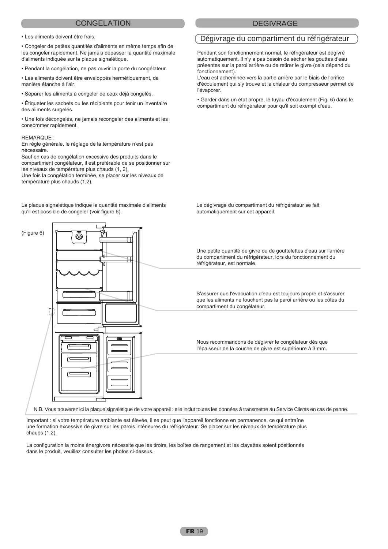#### CONGELATION DEGIVRAGE

• Les aliments doivent être frais.

• Congeler de petites quantités d'aliments en même temps afin de les congeler rapidement. Ne jamais dépasser la quantité maximale d'aliments indiquée sur la plaque signalétique.

• Pendant la congélation, ne pas ouvrir la porte du congélateur.

• Les aliments doivent être enveloppés hermétiquement, de manière étanche à l'air.

• Séparer les aliments à congeler de ceux déjà congelés.

• Étiqueter les sachets ou les récipients pour tenir un inventaire des aliments surgelés.

• Une fois décongelés, ne jamais recongeler des aliments et les consommer rapidement.

#### REMARQUE :

En règle générale, le réglage de la température n'est pas nécessaire.

Sauf en cas de congélation excessive des produits dans le compartiment congélateur, il est préférable de se positionner sur les niveaux de température plus chauds (1, 2). Une fois la congélation terminée, se placer sur les niveaux de température plus chauds (1,2).

La plaque signalétique indique la quantité maximale d'aliments qu'il est possible de congeler (voir figure 6).

#### Dégivrage du compartiment du réfrigérateur

Pendant son fonctionnement normal, le réfrigérateur est dégivré automatiquement. Il n'y a pas besoin de sécher les gouttes d'eau présentes sur la paroi arrière ou de retirer le givre (cela dépend du fonctionnement).

L'eau est acheminée vers la partie arrière par le biais de l'orifice d'écoulement qui s'y trouve et la chaleur du compresseur permet de l'évaporer.

• Garder dans un état propre, le tuyau d'écoulement (Fig. 6) dans le compartiment du réfrigérateur pour qu'il soit exempt d'eau.

Le dégivrage du compartiment du réfrigérateur se fait automatiquement sur cet appareil.

Une petite quantité de givre ou de gouttelettes d'eau sur l'arrière du compartiment du réfrigérateur, lors du fonctionnement du réfrigérateur, est normale.

S'assurer que l'évacuation d'eau est toujours propre et s'assurer que les aliments ne touchent pas la paroi arrière ou les côtés du compartiment du congélateur.

Nous recommandons de dégivrer le congélateur dès que l'épaisseur de la couche de givre est supérieure à 3 mm.

N.B. Vous trouverez ici la plaque signalétique de votre appareil : elle inclut toutes les données à transmettre au Service Clients en cas de panne.

Important : si votre température ambiante est élevée, il se peut que l'appareil fonctionne en permanence, ce qui entraîne une formation excessive de givre sur les parois intérieures du réfrigérateur. Se placer sur les niveaux de température plus chauds (1,2).

La configuration la moins énergivore nécessite que les tiroirs, les boîtes de rangement et les clayettes soient positionnés dans le produit, veuillez consulter les photos ci-dessus.

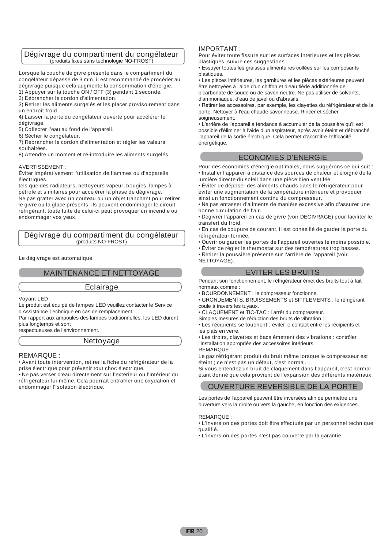#### Dégivrage du compartiment du congélateur (produits fixes sans technologie NO-FROST)

Lorsque la couche de givre présente dans le compartiment du congélateur dépasse de 3 mm, il est recommandé de procéder au dégivrage puisque cela augmente la consommation d'énergie. 1) Appuyer sur la touche ON / OFF (3) pendant 1 seconde.

2) Débrancher le cordon d'alimentation.

3) Retirer les aliments surgelés et les placer provisoirement dans un endroit froid.

4) Laisser la porte du congélateur ouverte pour accélérer le dégivrage.

5) Collecter l'eau au fond de l'appareil.

6) Sécher le congélateur.

7) Rebrancher le cordon d'alimentation et régler les valeurs

souhaitées.

8) Attendre un moment et ré-introduire les aliments surgelés.

#### AVERTISSEMENT :

Éviter impérativement l'utilisation de flammes ou d'appareils électriques,

tels que des radiateurs, nettoyeurs vapeur, bougies, lampes à pétrole et similaires pour accélérer la phase de dégivrage. Ne pas gratter avec un couteau ou un objet tranchant pour retirer le givre ou la glace présents. Ils peuvent endommager le circuit réfrigérant, toute fuite de celui-ci peut provoquer un incendie ou endommager vos yeux.

#### Dégivrage du compartiment du congélateur (produits NO-FROST)

Le dégivrage est automatique.

## MAINTENANCE ET NETTOYAGE

#### Eclairage

Voyant LED

Le produit est équipé de lampes LED veuillez contacter le Service d'Assistance Technique en cas de remplacement.

Par rapport aux ampoules des lampes traditionnelles, les LED durent plus longtemps et sont

respectueuses de l'environnement.

#### Nettoyage

#### REMARQUE :

• Avant toute intervention, retirer la fiche du réfrigérateur de la prise électrique pour prévenir tout choc électrique.

• Ne pas verser d'eau directement sur l'extérieur ou l'intérieur du réfrigérateur lui-même. Cela pourrait entraîner une oxydation et endommager l'isolation électrique.

#### IMPORTANT :

Pour éviter toute fissure sur les surfaces intérieures et les pièces plastiques, suivre ces suggestions :

• Essuyer toutes les graisses alimentaires collées sur les composants plastiques.

• Les pièces intérieures, les garnitures et les pièces extérieures peuvent être nettoyées à l'aide d'un chiffon et d'eau tiède additionnée de bicarbonate de soude ou de savon neutre. Ne pas utiliser de solvants, d'ammoniaque, d'eau de javel ou d'abrasifs.

• Retirer les accessoires, par exemple, les clayettes du réfrigérateur et de la porte. Nettoyer à l'eau chaude savonneuse. Rincer et sécher soigneusement.

• L'arrière de l'appareil a tendance à accumuler de la poussière qu'il est possible d'éliminer à l'aide d'un aspirateur, après avoir éteint et débranché l'appareil de la sortie électrique. Cela permet d'accroître l'efficacité énergétique.

### ECONOMIES D'ENERGIE

Pour des économies d'énergie optimales, nous suggérons ce qui suit : • Installer l'appareil à distance des sources de chaleur et éloigné de la lumière directe du soleil dans une pièce bien ventilée.

• Éviter de déposer des aliments chauds dans le réfrigérateur pour éviter une augmentation de la température intérieure et provoquer ainsi un fonctionnement continu du compresseur.

• Ne pas entasser d'aliments de manière excessive afin d'assurer une bonne circulation de l'air.

• Dégivrer l'appareil en cas de givre (voir DEGIVRAGE) pour faciliter le transfert du froid.

• En cas de coupure de courant, il est conseillé de garder la porte du réfrigérateur fermée.

• Ouvrir ou garder les portes de l'appareil ouvertes le moins possible.

• Éviter de régler le thermostat sur des températures trop basses.

• Retirer la poussière présente sur l'arrière de l'appareil (voir NETTOYAGE).

## EVITER LES BRUITS

Pendant son fonctionnement, le réfrigérateur émet des bruits tout à fait normaux comme :

• BOURDONNEMENT : le compresseur fonctionne.

• GRONDEMENTS, BRUISSEMENTS et SIFFLEMENTS : le réfrigérant coule à travers les tuyaux.

• CLAQUEMENT et TIC-TAC : l'arrêt du compresseur.

Simples mesures de réduction des bruits de vibration :

• Les récipients se touchent : éviter le contact entre les récipients et les plats en verre.

• Les tiroirs, clayettes et bacs émettent des vibrations : contrôler l'installation appropriée des accessoires intérieurs. REMARQUE :

Le gaz réfrigérant produit du bruit même lorsque le compresseur est éteint ; ce n'est pas un défaut, c'est normal.

Si vous entendez un bruit de claquement dans l'appareil, c'est normal étant donné que cela provient de l'expansion des différents matériaux.

#### OUVERTURE REVERSIBLE DE LA PORTE

Les portes de l'appareil peuvent être inversées afin de permettre une ouverture vers la droite ou vers la gauche, en fonction des exigences.

#### REMARQUE :

• L'inversion des portes doit être effectuée par un personnel technique qualifié.

• L'inversion des portes n'est pas couverte par la garantie.

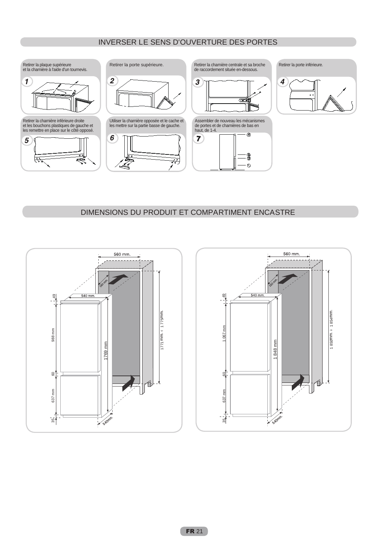## INVERSER LE SENS D'OUVERTURE DES PORTES



## DIMENSIONS DU PRODUIT ET COMPARTIMENT ENCASTRE



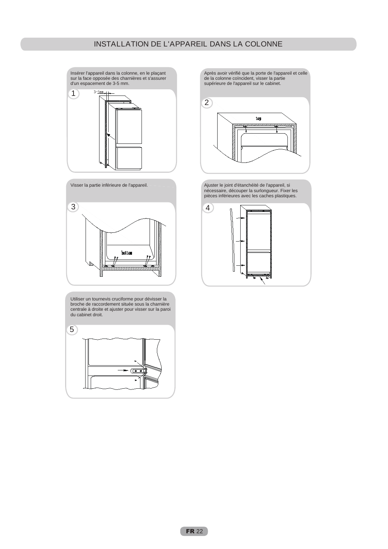1 Insérer l'appareil dans la colonne, en le plaçant sur la face opposée des charnières et s'assurer d'un espacement de 3-5 mm.





Utiliser un tournevis cruciforme pour dévisser la broche de raccordement située sous la charnière centrale à droite et ajuster pour visser sur la paroi du cabinet droit.



Après avoir vérifié que la porte de l'appareil et celle de la colonne coïncident, visser la partie supérieure de l'appareil sur le cabinet.



Ajuster le joint d'étanchéité de l'appareil, si nécessaire, découper la surlongueur. Fixer les pièces inférieures avec les caches plastiques.

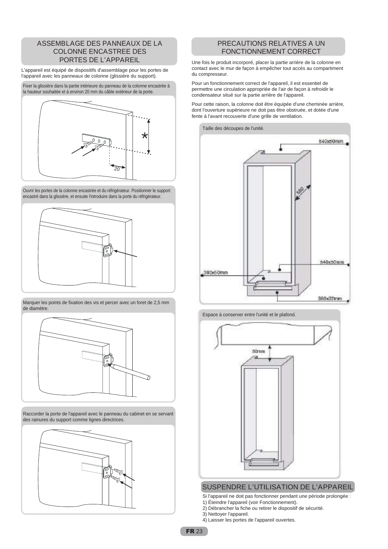### ASSEMBLAGE DES PANNEAUX DE LA COLONNE ENCASTREE DES PORTES DE L'APPAREIL

L'appareil est équipé de dispositifs d'assemblage pour les portes de l'appareil avec les panneaux de colonne (glissière du support).

Fixer la glissière dans la partie intérieure du panneau de la colonne encastrée à la hauteur souhaitée et à environ 20 mm du câble extérieur de la porte.



Ouvrir les portes de la colonne encastrée et du réfrigérateur. Positionner le support encastré dans la glissière, et ensuite l'introduire dans la porte du réfrigérateur.



Marquer les points de fixation des vis et percer avec un foret de 2,5 mm de diamètre.



Raccorder la porte de l'appareil avec le panneau du cabinet en se servant des rainures du support comme lignes directrices.



## PRECAUTIONS RELATIVES A UN FONCTIONNEMENT CORRECT

Une fois le produit incorporé, placer la partie arrière de la colonne en contact avec le mur de façon à empêcher tout accès au compartiment du compresseur.

Pour un fonctionnement correct de l'appareil, il est essentiel de permettre une circulation appropriée de l'air de façon à refroidir le condensateur situé sur la partie arrière de l'appareil.

Pour cette raison, la colonne doit être équipée d'une cheminée arrière, dont l'ouverture supérieure ne doit pas être obstruée, et dotée d'une fente à l'avant recouverte d'une grille de ventilation.







### SUSPENDRE L'UTILISATION DE L'APPAREIL

- Si l'appareil ne doit pas fonctionner pendant une période prolongée :
- 1) Éteindre l'appareil (voir Fonctionnement).
- 2) Débrancher la fiche ou retirer le dispositif de sécurité.
- 3) Nettoyer l'appareil.
- 4) Laisser les portes de l'appareil ouvertes.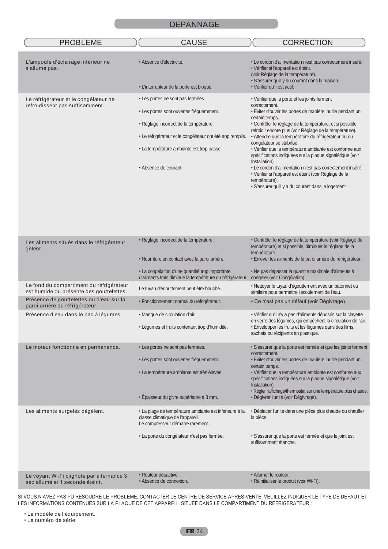| <b>PROBLEME</b>                                                                      | <b>CAUSE</b>                                                                                                                   | <b>CORRECTION</b>                                                                                                                                                                           |
|--------------------------------------------------------------------------------------|--------------------------------------------------------------------------------------------------------------------------------|---------------------------------------------------------------------------------------------------------------------------------------------------------------------------------------------|
| L'ampoule d'éclairage intérieur ne<br>s'allume pas.                                  | • Absence d'électricité.                                                                                                       | • Le cordon d'alimentation n'est pas correctement inséré.<br>· Vérifier si l'appareil est éteint.<br>(voir Réglage de la température).<br>· S'assurer qu'il y du courant dans la maison.    |
|                                                                                      | • L'interrupteur de la porte est bloqué.                                                                                       | · Vérifier qu'il est actif.                                                                                                                                                                 |
| Le réfrigérateur et le congélateur ne<br>refroidissent pas suffisamment.             | • Les portes ne sont pas fermées.<br>• Les portes sont ouvertes fréquemment.                                                   | • Vérifier que la porte et les joints ferment<br>correctement.<br>· Éviter d'ouvrir les portes de manière inutile pendant un<br>certain temps.                                              |
|                                                                                      | • Réglage incorrect de la température.                                                                                         | · Contrôler le réglage de la température, et si possible,<br>refroidir encore plus (voir Réglage de la température).                                                                        |
|                                                                                      | • Le réfrigérateur et le congélateur ont été trop remplis.                                                                     | · Attendre que la température du réfrigérateur ou du<br>congélateur se stabilise.                                                                                                           |
|                                                                                      | • La température ambiante est trop basse.                                                                                      | · Vérifier que la température ambiante est conforme aux<br>spécifications indiquées sur la plaque signalétique (voir<br>Installation).                                                      |
|                                                                                      | • Absence de courant.                                                                                                          | · Le cordon d'alimentation n'est pas correctement inséré.<br>· Vérifier si l'appareil est éteint (voir Réglage de la<br>température).<br>· S'assurer qu'il y a du courant dans le logement. |
| Les aliments situés dans le réfrigérateur<br>gèlent.                                 | · Réglage incorrect de la température.                                                                                         | • Contrôler le réglage de la température (voir Réglage de<br>température) et si possible, diminuer le réglage de la<br>température.                                                         |
|                                                                                      | · Nourriture en contact avec la paroi arrière.                                                                                 | · Enlever les aliments de la paroi arrière du réfrigérateur.                                                                                                                                |
|                                                                                      | • La congélation d'une quantité trop importante<br>d'aliments frais diminue la température du réfrigérateur.                   | • Ne pas dépasser la quantité maximale d'aliments à<br>congeler (voir Congélation).                                                                                                         |
| Le fond du compartiment du réfrigérateur<br>est humide ou présente des gouttelettes. | Le tuyau d'égouttement peut être bouché.                                                                                       | • Nettoyer le tuyau d'égouttement avec un bâtonnet ou<br>similaire pour permettre l'écoulement de l'eau.                                                                                    |
| Présence de gouttelettes ou d'eau sur la<br>paroi arrière du réfrigérateur.          | · Fonctionnement normal du réfrigérateur.                                                                                      | · Ce n'est pas un défaut (voir Dégivrage).                                                                                                                                                  |
| Présence d'eau dans le bac à légumes.                                                | • Manque de circulation d'air.                                                                                                 | · Vérifier qu'il n'y a pas d'aliments déposés sur la clayette<br>en verre des légumes, qui empêchent la circulation de l'air.                                                               |
|                                                                                      | · Légumes et fruits contenant trop d'humidité.                                                                                 | · Envelopper les fruits et les légumes dans des films,<br>sachets ou récipients en plastique.                                                                                               |
| Le moteur fonctionne en permanence.                                                  | • Les portes ne sont pas fermées.                                                                                              | · S'assurer que la porte est fermée et que les joints ferment<br>correctement.                                                                                                              |
|                                                                                      | • Les portes sont ouvertes fréquemment.                                                                                        | · Éviter d'ouvrir les portes de manière inutile pendant un<br>certain temps.                                                                                                                |
|                                                                                      | · La température ambiante est très élevée.                                                                                     | · Vérifier que la température ambiante est conforme aux<br>spécifications indiquées sur la plaque signalétique (voir<br>Installation).                                                      |
|                                                                                      | · Épaisseur du givre supérieure à 3 mm.                                                                                        | · Régler l'affichage/thermostat sur une température plus chaude.<br>· Dégivrer l'unité (voir Dégivrage).                                                                                    |
| Les aliments surgelés dégèlent.                                                      | • La plage de température ambiante est inférieure à la<br>classe climatique de l'appareil.<br>Le compresseur démarre rarement. | · Déplacer l'unité dans une pièce plus chaude ou chauffer<br>la pièce.                                                                                                                      |
|                                                                                      | · La porte du congélateur n'est pas fermée.                                                                                    | · S'assurer que la porte est fermée et que le joint est<br>suffisamment étanche.                                                                                                            |
|                                                                                      |                                                                                                                                |                                                                                                                                                                                             |
| Le voyant Wi-Fi clignote par alternance 3<br>sec allumé et 1 seconde éteint.         | · Routeur désactivé.<br>• Absence de connexion.                                                                                | • Allumer le routeur.<br>• Réinitialiser le produit (voir Wi-Fi).                                                                                                                           |

SI VOUS N'AVEZ PAS PU RESOUDRE LE PROBLEME, CONTACTER LE CENTRE DE SERVICE APRES-VENTE. VEUILLEZ INDIQUER LE TYPE DE DEFAUT ET LES INFORMATIONS CONTENUES SUR LA PLAQUE DE CET APPAREIL, SITUEE DANS LE COMPARTIMENT DU REFRIGERATEUR :

• Le modèle de l'équipement.

• Le numéro de série.